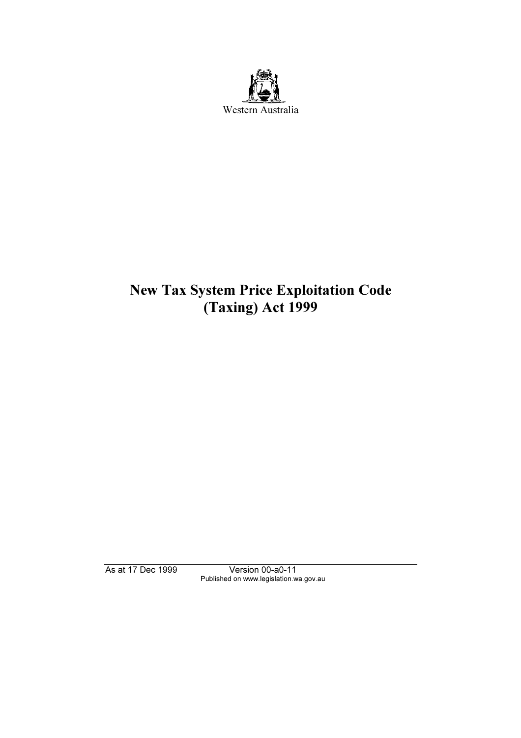

# New Tax System Price Exploitation Code (Taxing) Act 1999

Published on www.legislation.wa.gov.au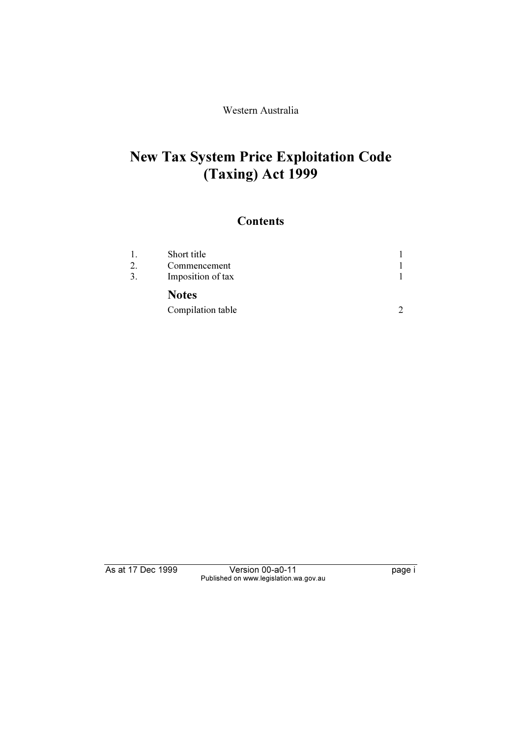Western Australia

## New Tax System Price Exploitation Code (Taxing) Act 1999

### **Contents**

| $\mathbf{1}$ . | Short title       |  |
|----------------|-------------------|--|
| 2.             | Commencement      |  |
| 3.             | Imposition of tax |  |
|                | <b>Notes</b>      |  |
|                | Compilation table |  |

Published on www.legislation.wa.gov.au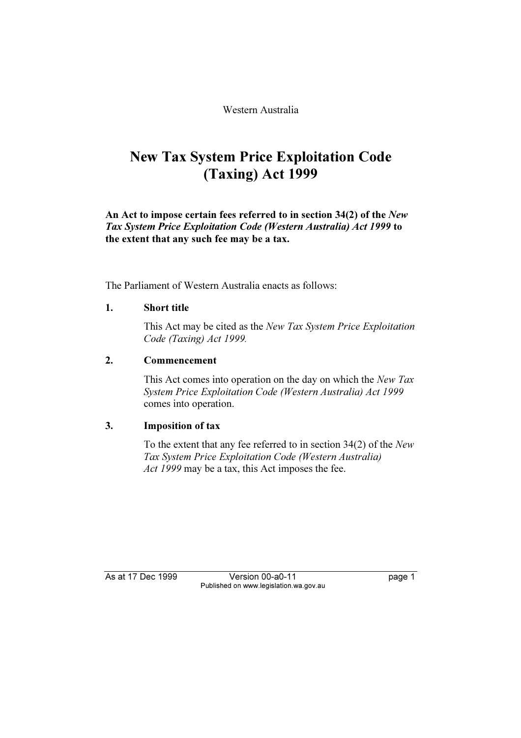Western Australia

### New Tax System Price Exploitation Code (Taxing) Act 1999

An Act to impose certain fees referred to in section 34(2) of the New Tax System Price Exploitation Code (Western Australia) Act 1999 to the extent that any such fee may be a tax.

The Parliament of Western Australia enacts as follows:

#### 1. Short title

 This Act may be cited as the New Tax System Price Exploitation Code (Taxing) Act 1999.

#### 2. Commencement

This Act comes into operation on the day on which the New Tax System Price Exploitation Code (Western Australia) Act 1999 comes into operation.

#### 3. Imposition of tax

 To the extent that any fee referred to in section 34(2) of the New Tax System Price Exploitation Code (Western Australia) Act 1999 may be a tax, this Act imposes the fee.

As at 17 Dec 1999

Published on www.legislation.wa.gov.au Published on www.legislation.wa.gov.au